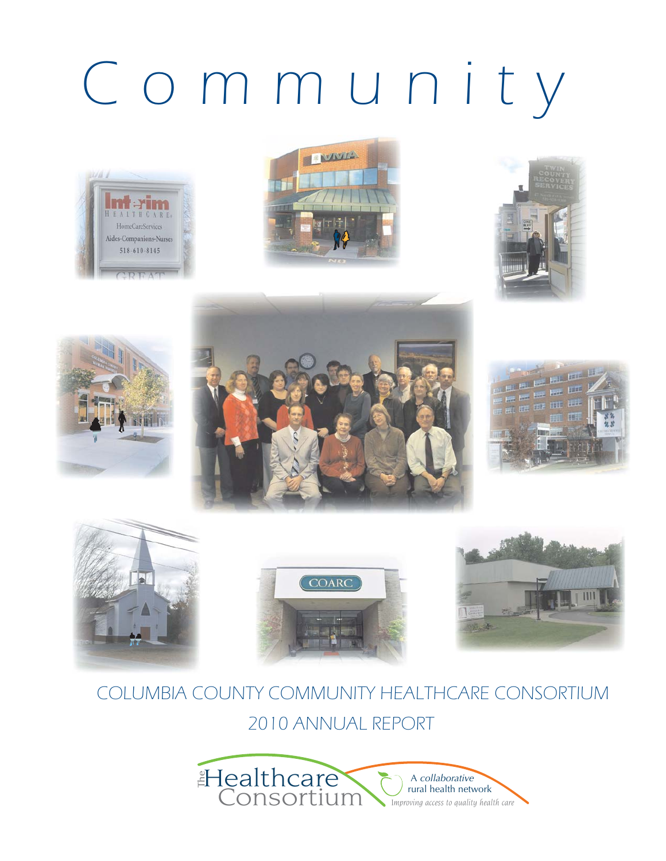# Community



















## COLUMBIA COUNTY COMMUNITY HEALTHCARE CONSORTIUM 2010 ANNUAL REPORT

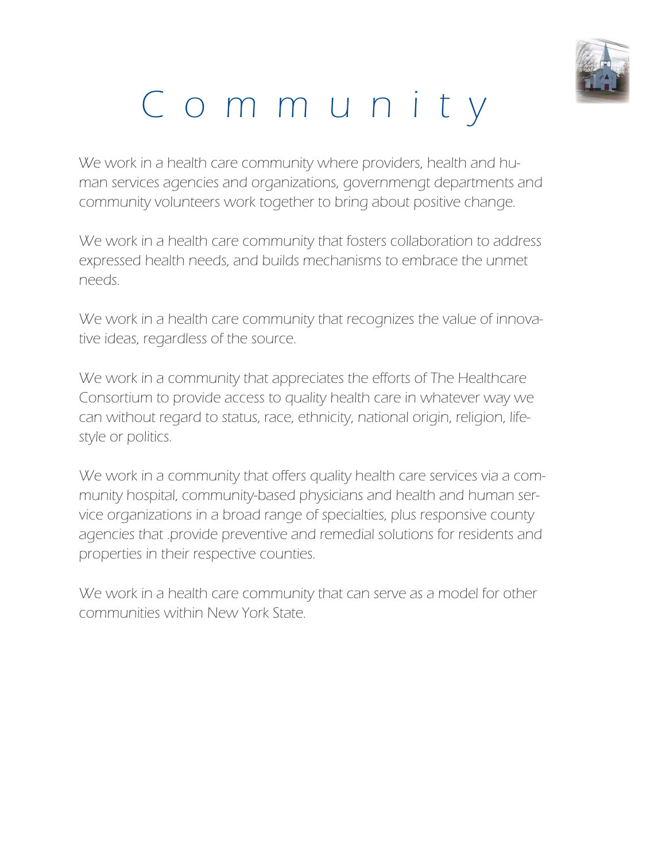

## Community

We work in a health care community where providers, health and human services agencies and organizations, governmengt departments and community volunteers work together to bring about positive change.

We work in a health care community that fosters collaboration to address expressed health needs, and builds mechanisms to embrace the unmet needs.

We work in a health care community that recognizes the value of innovative ideas, regardless of the source.

We work in a community that appreciates the efforts of The Healthcare Consortium to provide access to quality health care in whatever way we can without regard to status, race, ethnicity, national origin, religion, lifestyle or politics.

We work in a community that offers quality health care services via a community hospital, community-based physicians and health and human service organizations in a broad range of specialties, plus responsive county agencies that provide preventive and remedial solutions for residents and properties in their respective counties.

We work in a health care community that can serve as a model for other communities within New York State.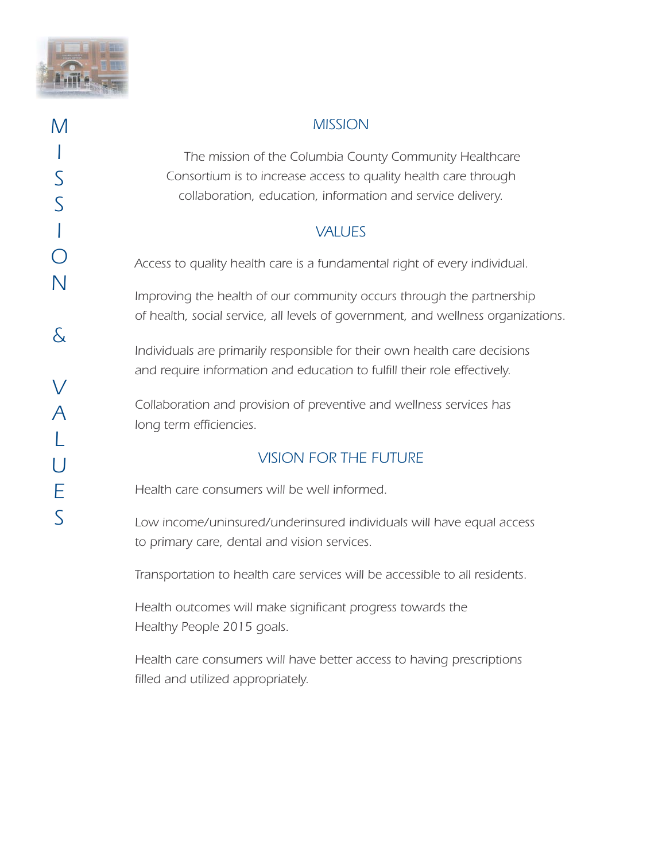

#### *MISSION*

 *The mission of the Columbia County Community Healthcare Consortium is to increase access to quality health care through collaboration, education, information and service delivery.*

#### *VALUES*

*Access to quality health care is a fundamental right of every individual.*

*Improving the health of our community occurs through the partnership of health, social service, all levels of government, and wellness organizations.*

*Individuals are primarily responsible for their own health care decisions and require information and education to fulfill their role effectively.*

*Collaboration and provision of preventive and wellness services has long term efficiencies.*

#### *VISION FOR THE FUTURE*

*Health care consumers will be well informed.*

*Low income/uninsured/underinsured individuals will have equal access to primary care, dental and vision services.*

*Transportation to health care services will be accessible to all residents.*

*Health outcomes will make significant progress towards the Healthy People 2015 goals.*

*Health care consumers will have better access to having prescriptions filled and utilized appropriately.*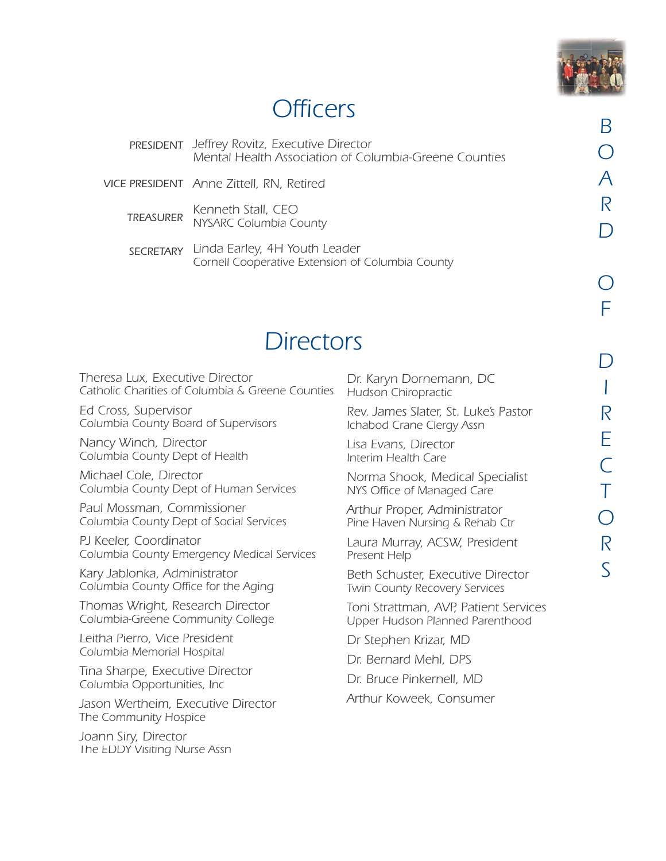

## *Officers*

*Jeffrey Rovitz, Executive Director PRESIDENT Mental Health Association of Columbia-Greene Counties*

*Anne Zittell, RN, Retired VICE PRESIDENT*

*Kenneth Stall, CEO NYSARC Columbia County TREASURER*

*Linda Earley, 4H Youth Leader SECRETARYCornell Cooperative Extension of Columbia County*

## *Directors*

*Theresa Lux, Executive Director Catholic Charities of Columbia & Greene Counties*

*Ed Cross, Supervisor Columbia County Board of Supervisors*

*Nancy Winch, Director Columbia County Dept of Health*

*Michael Cole, Director Columbia County Dept of Human Services*

*Paul Mossman, Commissioner Columbia County Dept of Social Services*

*PJ Keeler, Coordinator Columbia County Emergency Medical Services*

*Kary Jablonka, Administrator Columbia County Office for the Aging*

*Thomas Wright, Research Director Columbia-Greene Community College*

*Leitha Pierro, Vice President Columbia Memorial Hospital*

*Tina Sharpe, Executive Director Columbia Opportunities, Inc*

*Jason Wertheim, Executive Director The Community Hospice*

*Joann Siry, Director The EDDY Visiting Nurse Assn*

*Dr. Karyn Dornemann, DC Hudson Chiropractic*

*Rev. James Slater, St. Luke's Pastor Ichabod Crane Clergy Assn*

*Lisa Evans, Director Interim Health Care*

*Norma Shook, Medical Specialist NYS Office of Managed Care*

*Arthur Proper, Administrator Pine Haven Nursing & Rehab Ctr*

*Laura Murray, ACSW, President Present Help*

*Beth Schuster, Executive Director Twin County Recovery Services*

*Toni Strattman, AVP, Patient Services Upper Hudson Planned Parenthood*

*Dr Stephen Krizar, MD*

*Dr. Bernard Mehl, DPS*

*Dr. Bruce Pinkernell, MD*

*Arthur Koweek, Consumer*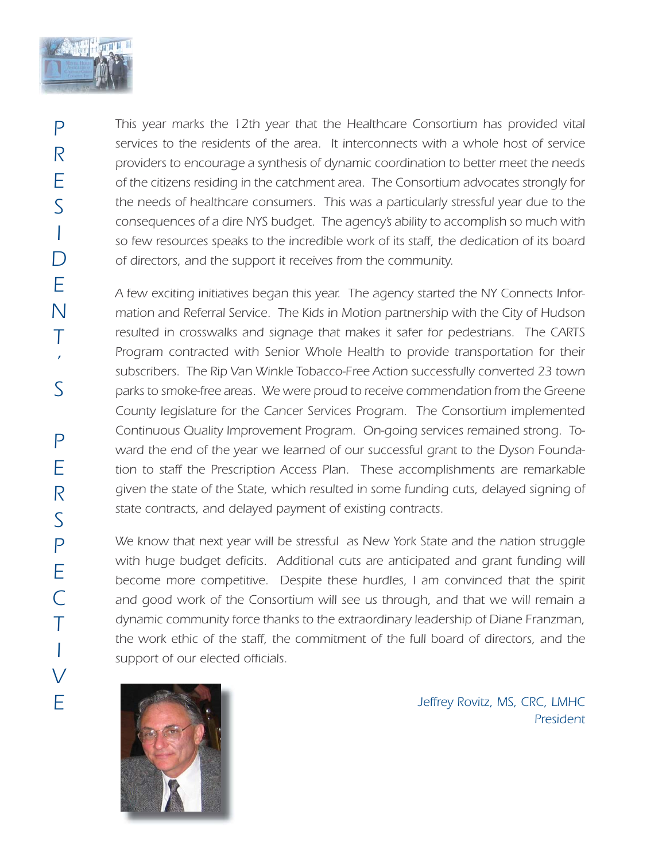

*This year marks the 12th year that the Healthcare Consortium has provided vital services to the residents of the area. It interconnects with a whole host of service providers to encourage a synthesis of dynamic coordination to better meet the needs of the citizens residing in the catchment area. The Consortium advocates strongly for the needs of healthcare consumers. This was a particularly stressful year due to the consequences of a dire NYS budget. The agency's ability to accomplish so much with so few resources speaks to the incredible work of its staff, the dedication of its board of directors, and the support it receives from the community.* 

*A few exciting initiatives began this year. The agency started the NY Connects Information and Referral Service. The Kids in Motion partnership with the City of Hudson resulted in crosswalks and signage that makes it safer for pedestrians. The CARTS Program contracted with Senior Whole Health to provide transportation for their subscribers. The Rip Van Winkle Tobacco-Free Action successfully converted 23 town parks to smoke-free areas. We were proud to receive commendation from the Greene County legislature for the Cancer Services Program. The Consortium implemented Continuous Quality Improvement Program. On-going services remained strong. Toward the end of the year we learned of our successful grant to the Dyson Foundation to staff the Prescription Access Plan. These accomplishments are remarkable given the state of the State, which resulted in some funding cuts, delayed signing of state contracts, and delayed payment of existing contracts.*

*We know that next year will be stressful as New York State and the nation struggle* with huge budget deficits. Additional cuts are anticipated and grant funding will *become more competitive. Despite these hurdles, I am convinced that the spirit and good work of the Consortium will see us through, and that we will remain a dynamic community force thanks to the extraordinary leadership of Diane Franzman, the work ethic of the staff, the commitment of the full board of directors, and the support of our elected officials.*



*Jeffrey Rovitz, MS, CRC, LMHC President*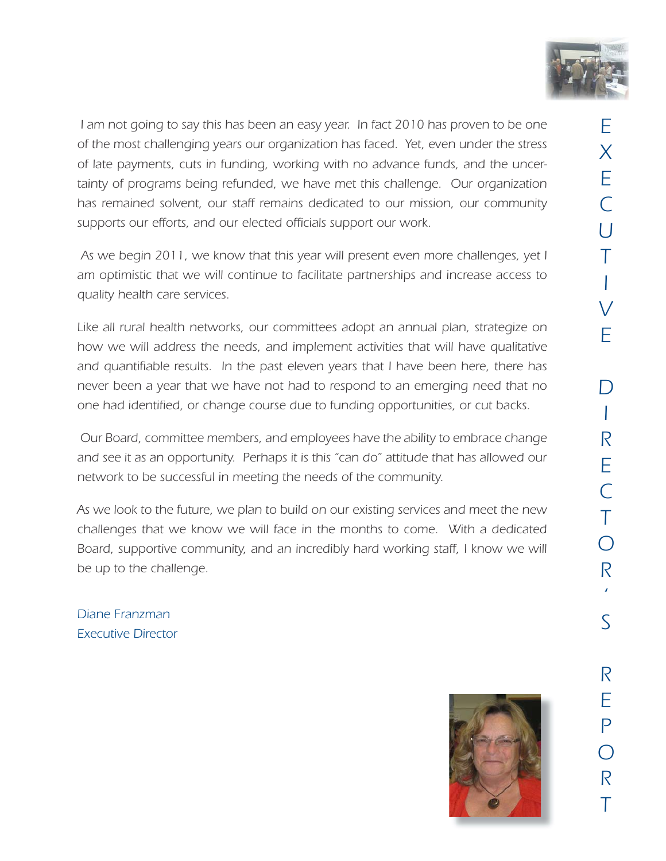

 *I am not going to say this has been an easy year. In fact 2010 has proven to be one of the most challenging years our organization has faced. Yet, even under the stress of late payments, cuts in funding, working with no advance funds, and the uncertainty of programs being refunded, we have met this challenge. Our organization has remained solvent, our staff remains dedicated to our mission, our community supports our efforts, and our elected officials support our work.*

 *As we begin 2011, we know that this year will present even more challenges, yet I am optimistic that we will continue to facilitate partnerships and increase access to quality health care services.*

*Like all rural health networks, our committees adopt an annual plan, strategize on how we will address the needs, and implement activities that will have qualitative and quantifiable results. In the past eleven years that I have been here, there has never been a year that we have not had to respond to an emerging need that no one had identified, or change course due to funding opportunities, or cut backs.*

*Our Board, committee members, and employees have the ability to embrace change and see it as an opportunity. Perhaps it is this "can do" attitude that has allowed our network to be successful in meeting the needs of the community.*

*As we look to the future, we plan to build on our existing services and meet the new challenges that we know we will face in the months to come. With a dedicated Board, supportive community, and an incredibly hard working staff, I know we will be up to the challenge.*

*Diane Franzman Executive Director* 

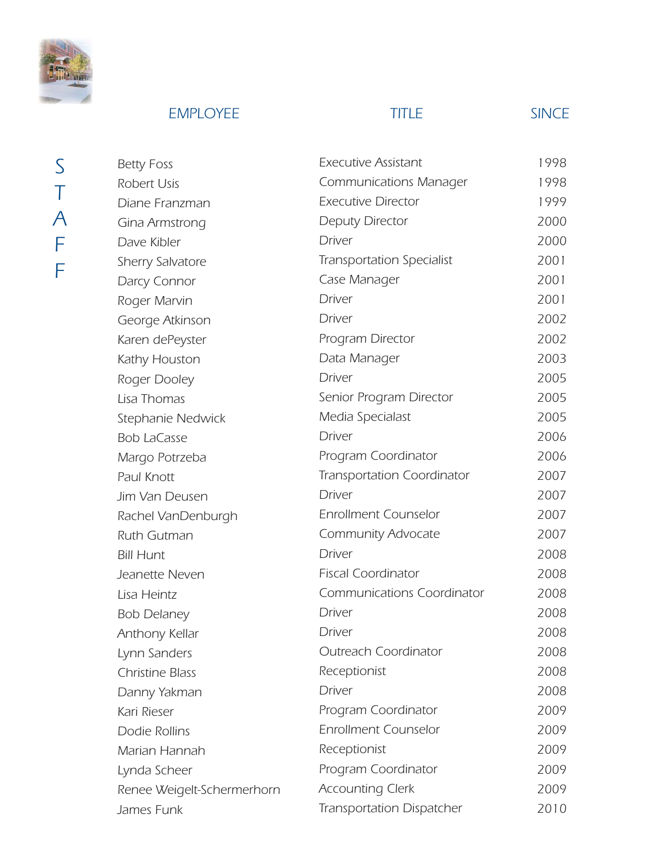

## *EMPLOYEE TITLE SINCE*

*S T A F F*

| <b>Betty Foss</b>          | <b>Executive Assistant</b>        | 1998 |
|----------------------------|-----------------------------------|------|
| Robert Usis                | <b>Communications Manager</b>     | 1998 |
| Diane Franzman             | <b>Executive Director</b>         | 1999 |
| Gina Armstrong             | Deputy Director                   | 2000 |
| Dave Kibler                | <b>Driver</b>                     | 2000 |
| Sherry Salvatore           | <b>Transportation Specialist</b>  | 2001 |
| Darcy Connor               | Case Manager                      | 2001 |
| Roger Marvin               | <b>Driver</b>                     | 2001 |
| George Atkinson            | <b>Driver</b>                     | 2002 |
| Karen dePeyster            | Program Director                  | 2002 |
| Kathy Houston              | Data Manager                      | 2003 |
| Roger Dooley               | <b>Driver</b>                     | 2005 |
| Lisa Thomas                | Senior Program Director           | 2005 |
| Stephanie Nedwick          | Media Specialast                  | 2005 |
| <b>Bob LaCasse</b>         | <b>Driver</b>                     | 2006 |
| Margo Potrzeba             | Program Coordinator               | 2006 |
| Paul Knott                 | <b>Transportation Coordinator</b> | 2007 |
| Jim Van Deusen             | <b>Driver</b>                     | 2007 |
| Rachel VanDenburgh         | <b>Enrollment Counselor</b>       | 2007 |
| Ruth Gutman                | Community Advocate                | 2007 |
| <b>Bill Hunt</b>           | <b>Driver</b>                     | 2008 |
| Jeanette Neven             | <b>Fiscal Coordinator</b>         | 2008 |
| Lisa Heintz                | <b>Communications Coordinator</b> | 2008 |
| <b>Bob Delaney</b>         | <b>Driver</b>                     | 2008 |
| Anthony Kellar             | <b>Driver</b>                     | 2008 |
| Lynn Sanders               | <b>Outreach Coordinator</b>       | 2008 |
| <b>Christine Blass</b>     | Receptionist                      | 2008 |
| Danny Yakman               | <b>Driver</b>                     | 2008 |
| Kari Rieser                | Program Coordinator               | 2009 |
| Dodie Rollins              | <b>Enrollment Counselor</b>       | 2009 |
| Marian Hannah              | Receptionist                      | 2009 |
| Lynda Scheer               | Program Coordinator               | 2009 |
| Renee Weigelt-Schermerhorn | <b>Accounting Clerk</b>           | 2009 |
| James Funk                 | <b>Transportation Dispatcher</b>  | 2010 |
|                            |                                   |      |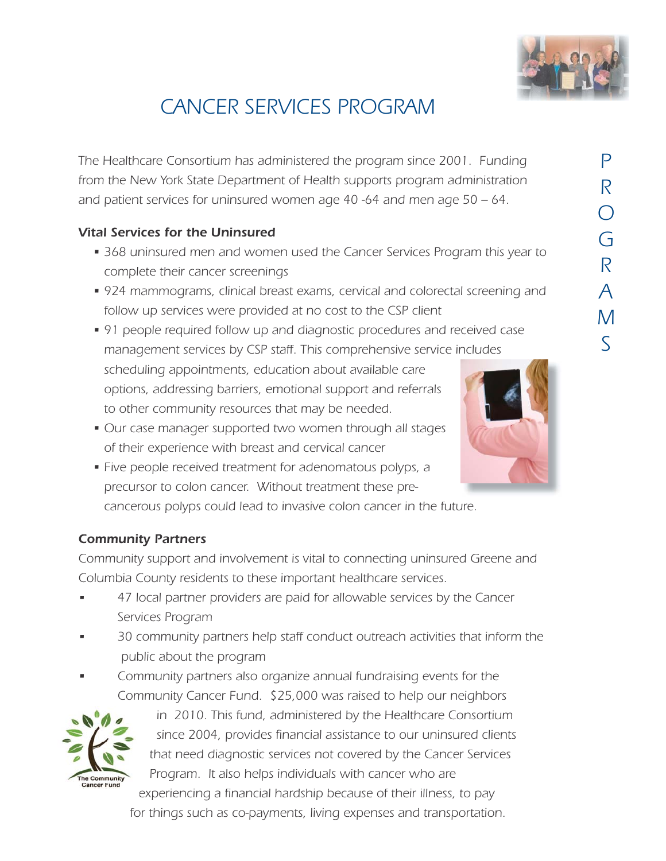

## *CANCER SERVICES PROGRAM*

*The Healthcare Consortium has administered the program since 2001. Funding from the New York State Department of Health supports program administration and patient services for uninsured women age 40 -64 and men age 50 – 64.*

#### *Vital Services for the Uninsured*

- *368 uninsured men and women used the Cancer Services Program this year to complete their cancer screenings*
- *924 mammograms, clinical breast exams, cervical and colorectal screening and follow up services were provided at no cost to the CSP client*
- *91 people required follow up and diagnostic procedures and received case management services by CSP staff. This comprehensive service includes scheduling appointments, education about available care options, addressing barriers, emotional support and referrals to other community resources that may be needed.*
- *Our case manager supported two women through all stages of their experience with breast and cervical cancer*
- *Five people received treatment for adenomatous polyps, a precursor to colon cancer. Without treatment these pre cancerous polyps could lead to invasive colon cancer in the future.*

#### *Community Partners*

*Community support and involvement is vital to connecting uninsured Greene and Columbia County residents to these important healthcare services.*

- *• 47 local partner providers are paid for allowable services by the Cancer Services Program*
- *• 30 community partners help staff conduct outreach activities that inform the public about the program*
- *• Community partners also organize annual fundraising events for the Community Cancer Fund. \$25,000 was raised to help our neighbors*



*in 2010. This fund, administered by the Healthcare Consortium since 2004, provides financial assistance to our uninsured clients that need diagnostic services not covered by the Cancer Services Program. It also helps individuals with cancer who are experiencing a financial hardship because of their illness, to pay*

 *for things such as co-payments, living expenses and transportation.* 

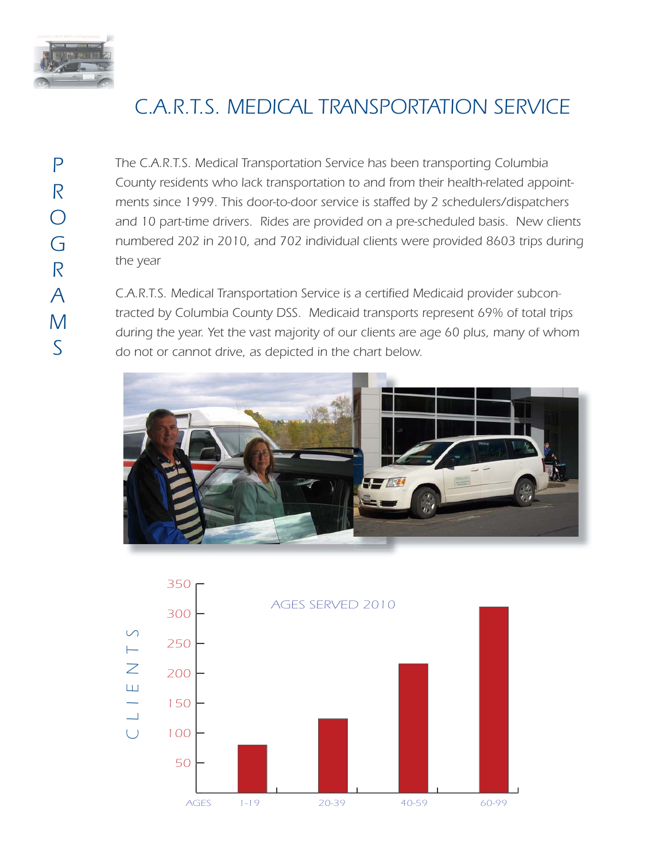

## *C.A.R.T.S. MEDICAL TRANSPORTATION SERVICE*

*P R O G R A M S*

*The C.A.R.T.S. Medical Transportation Service has been transporting Columbia County residents who lack transportation to and from their health-related appointments since 1999. This door-to-door service is staffed by 2 schedulers/dispatchers and 10 part-time drivers. Rides are provided on a pre-scheduled basis. New clients numbered 202 in 2010, and 702 individual clients were provided 8603 trips during the year*

*C.A.R.T.S. Medical Transportation Service is a certified Medicaid provider subcontracted by Columbia County DSS. Medicaid transports represent 69% of total trips during the year. Yet the vast majority of our clients are age 60 plus, many of whom do not or cannot drive, as depicted in the chart below.*



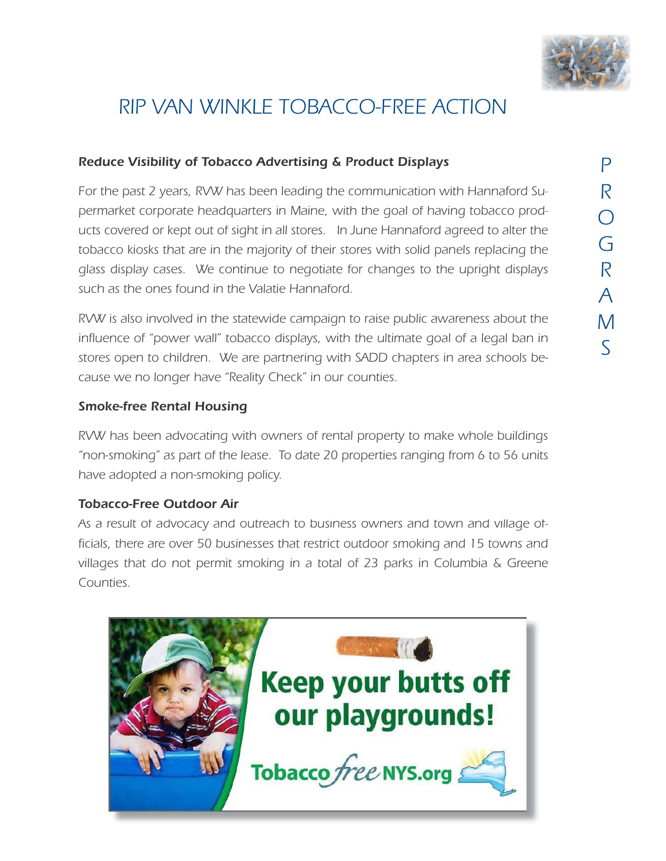

## *RIP VAN WINKLE TOBACCO-FREE ACTION*

#### *Reduce Visibility of Tobacco Advertising & Product Displays*

*For the past 2 years, RVW has been leading the communication with Hannaford Supermarket corporate headquarters in Maine, with the goal of having tobacco products covered or kept out of sight in all stores. In June Hannaford agreed to alter the tobacco kiosks that are in the majority of their stores with solid panels replacing the glass display cases. We continue to negotiate for changes to the upright displays such as the ones found in the Valatie Hannaford.*

*RVW is also involved in the statewide campaign to raise public awareness about the influence of "power wall" tobacco displays, with the ultimate goal of a legal ban in stores open to children. We are partnering with SADD chapters in area schools because we no longer have "Reality Check" in our counties.*

#### *Smoke-free Rental Housing*

*RVW has been advocating with owners of rental property to make whole buildings "non-smoking" as part of the lease. To date 20 properties ranging from 6 to 56 units have adopted a non-smoking policy.*

#### *Tobacco-Free Outdoor Air*

*As a result of advocacy and outreach to business owners and town and village officials, there are over 50 businesses that restrict outdoor smoking and 15 towns and villages that do not permit smoking in a total of 23 parks in Columbia & Greene Counties.* 

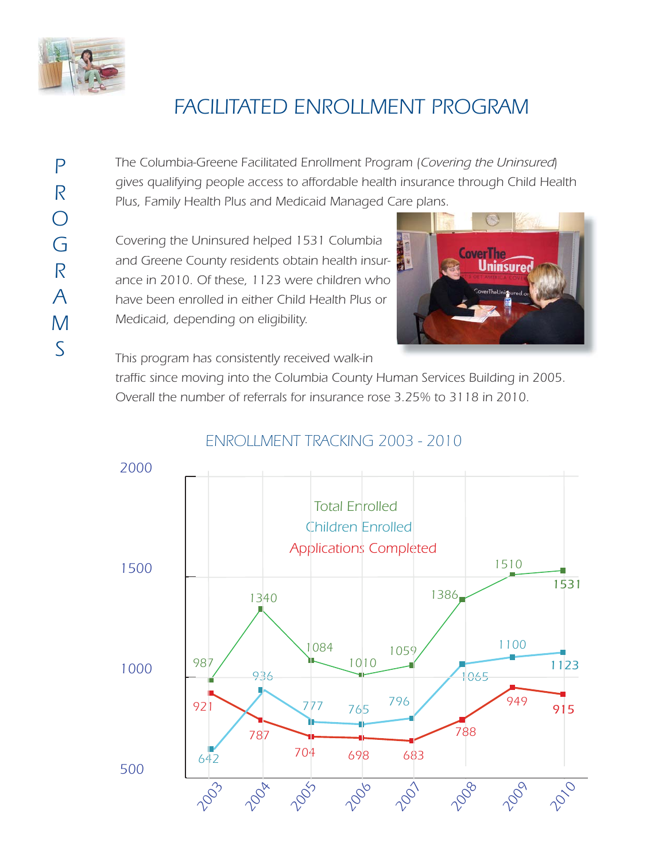

## *FACILITATED ENROLLMENT PROGRAM*

*P R O G R A M S*

*The Columbia-Greene Facilitated Enrollment Program (Covering the Uninsured) gives qualifying people access to affordable health insurance through Child Health Plus, Family Health Plus and Medicaid Managed Care plans.*

*Covering the Uninsured helped 1531 Columbia and Greene County residents obtain health insurance in 2010. Of these, 1123 were children who have been enrolled in either Child Health Plus or Medicaid, depending on eligibility.*



*This program has consistently received walk-in*

*traffic since moving into the Columbia County Human Services Building in 2005. Overall the number of referrals for insurance rose 3.25% to 3118 in 2010.*

### *ENROLLMENT TRACKING 2003 - 2010*

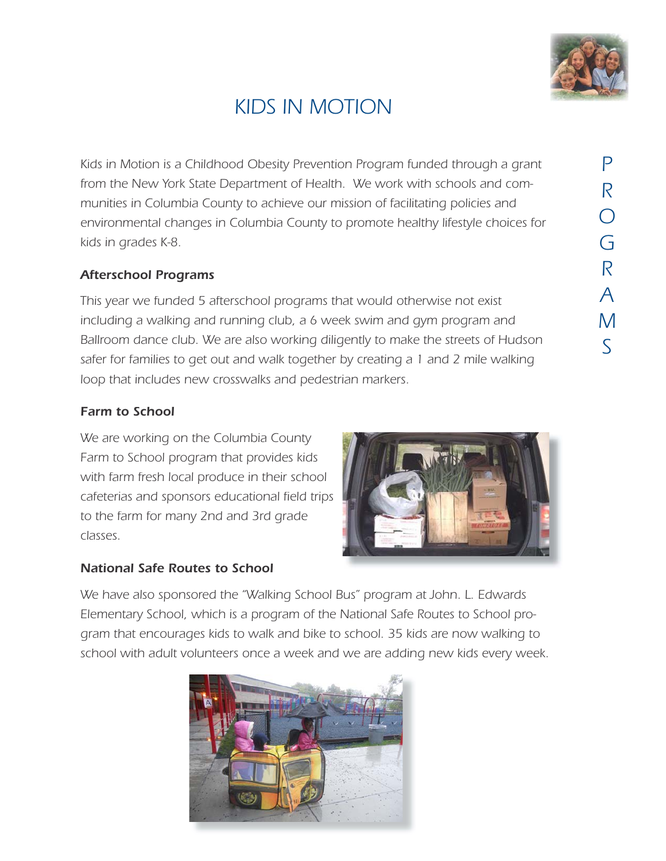

## *KIDS IN MOTION*

*Kids in Motion is a Childhood Obesity Prevention Program funded through a grant from the New York State Department of Health. We work with schools and communities in Columbia County to achieve our mission of facilitating policies and environmental changes in Columbia County to promote healthy lifestyle choices for kids in grades K-8.*

#### *Afterschool Programs*

*This year we funded 5 afterschool programs that would otherwise not exist including a walking and running club, a 6 week swim and gym program and Ballroom dance club. We are also working diligently to make the streets of Hudson safer for families to get out and walk together by creating a 1 and 2 mile walking loop that includes new crosswalks and pedestrian markers.*

#### *Farm to School*

*We are working on the Columbia County Farm to School program that provides kids with farm fresh local produce in their school cafeterias and sponsors educational field trips to the farm for many 2nd and 3rd grade classes.*

#### *National Safe Routes to School*



*We have also sponsored the "Walking School Bus" program at John. L. Edwards Elementary School, which is a program of the National Safe Routes to School program that encourages kids to walk and bike to school. 35 kids are now walking to school with adult volunteers once a week and we are adding new kids every week.*

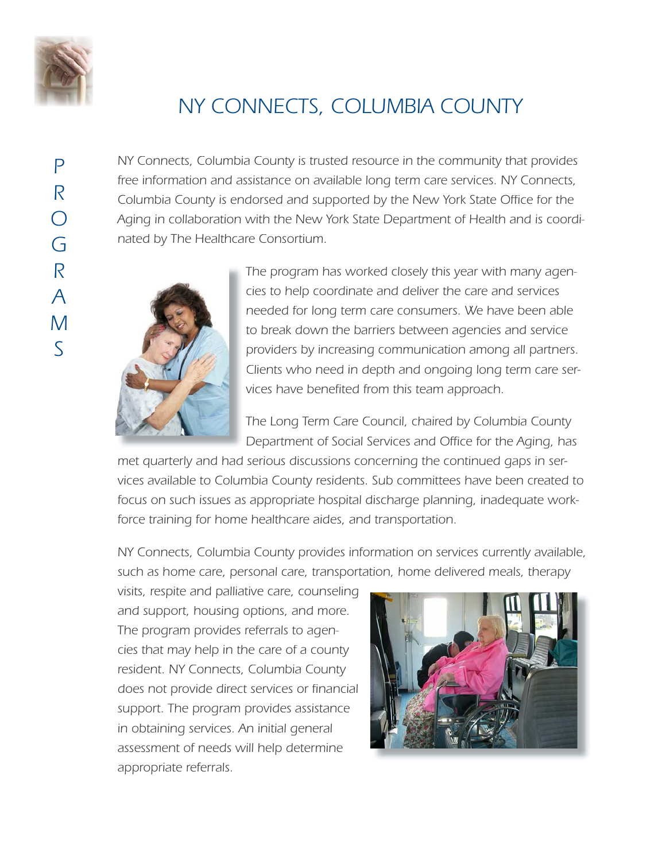

*P*

*R*

*O*

*G*

*R*

*A*

*M*

*S*

## *NY CONNECTS, COLUMBIA COUNTY*

*NY Connects, Columbia County is trusted resource in the community that provides free information and assistance on available long term care services. NY Connects, Columbia County is endorsed and supported by the New York State Office for the Aging in collaboration with the New York State Department of Health and is coordinated by The Healthcare Consortium.*



*The program has worked closely this year with many agencies to help coordinate and deliver the care and services needed for long term care consumers. We have been able to break down the barriers between agencies and service providers by increasing communication among all partners. Clients who need in depth and ongoing long term care services have benefited from this team approach.*

*The Long Term Care Council, chaired by Columbia County Department of Social Services and Office for the Aging, has*

*met quarterly and had serious discussions concerning the continued gaps in services available to Columbia County residents. Sub committees have been created to focus on such issues as appropriate hospital discharge planning, inadequate workforce training for home healthcare aides, and transportation.*

*NY Connects, Columbia County provides information on services currently available, such as home care, personal care, transportation, home delivered meals, therapy*

*visits, respite and palliative care, counseling and support, housing options, and more. The program provides referrals to agencies that may help in the care of a county resident. NY Connects, Columbia County does not provide direct services or financial support. The program provides assistance in obtaining services. An initial general assessment of needs will help determine appropriate referrals.*

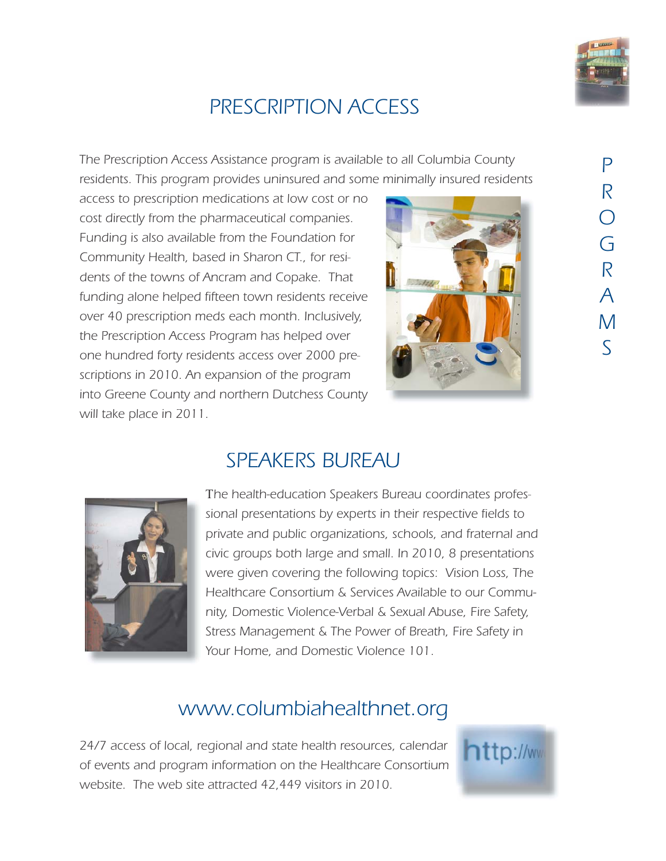

## *PRESCRIPTION ACCESS*

*The Prescription Access Assistance program is available to all Columbia County residents. This program provides uninsured and some minimally insured residents*

*access to prescription medications at low cost or no cost directly from the pharmaceutical companies. Funding is also available from the Foundation for Community Health, based in Sharon CT., for residents of the towns of Ancram and Copake. That funding alone helped fifteen town residents receive over 40 prescription meds each month. Inclusively, the Prescription Access Program has helped over one hundred forty residents access over 2000 prescriptions in 2010. An expansion of the program into Greene County and northern Dutchess County will take place in 2011.*





## *SPEAKERS BUREAU*

7*he health-education Speakers Bureau coordinates professional presentations by experts in their respective fields to private and public organizations, schools, and fraternal and civic groups both large and small. In 2010, 8 presentations were given covering the following topics: Vision Loss, The Healthcare Consortium & Services Available to our Community, Domestic Violence-Verbal & Sexual Abuse, Fire Safety, Stress Management & The Power of Breath, Fire Safety in Your Home, and Domestic Violence 101.*

## *www.columbiahealthnet.org*

*24/7 access of local, regional and state health resources, calendar of events and program information on the Healthcare Consortium website. The web site attracted 42,449 visitors in 2010.*



## *P R O G R A M S*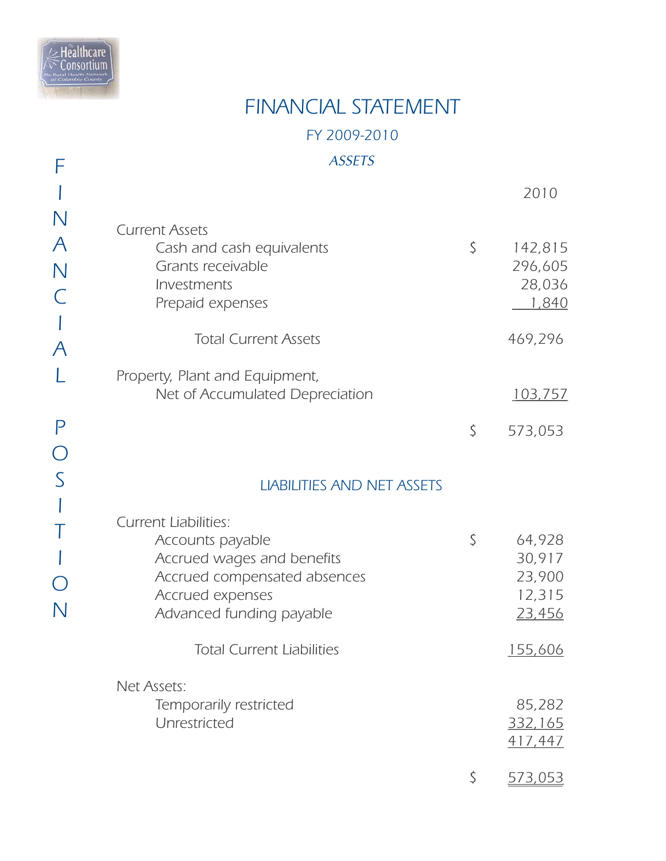

*F*

## *ASSETS FY 2009-2010 FINANCIAL STATEMENT*

|                                                             |                                                                                                                                                               | 2010                                                 |
|-------------------------------------------------------------|---------------------------------------------------------------------------------------------------------------------------------------------------------------|------------------------------------------------------|
| $\mathsf{N}$<br>$\mathcal{A}_{\mathcal{A}}$<br>$\mathsf{N}$ | <b>Current Assets</b><br>Cash and cash equivalents<br>Grants receivable<br>Investments<br>Prepaid expenses                                                    | \$<br>142,815<br>296,605<br>28,036<br>1,840          |
| $\overline{\mathcal{A}}$                                    | <b>Total Current Assets</b>                                                                                                                                   | 469,296                                              |
|                                                             | Property, Plant and Equipment,<br>Net of Accumulated Depreciation                                                                                             | <u>103,757</u>                                       |
| P                                                           |                                                                                                                                                               | \$<br>573,053                                        |
|                                                             | <b>LIABILITIES AND NET ASSETS</b>                                                                                                                             |                                                      |
|                                                             | <b>Current Liabilities:</b><br>Accounts payable<br>Accrued wages and benefits<br>Accrued compensated absences<br>Accrued expenses<br>Advanced funding payable | \$<br>64,928<br>30,917<br>23,900<br>12,315<br>23,456 |
|                                                             | <b>Total Current Liabilities</b>                                                                                                                              | <u>155,606</u>                                       |
|                                                             | Net Assets:<br>Temporarily restricted<br>Unrestricted                                                                                                         | 85,282<br>332,165<br>417,447                         |
|                                                             |                                                                                                                                                               | \$<br><u>573,053</u>                                 |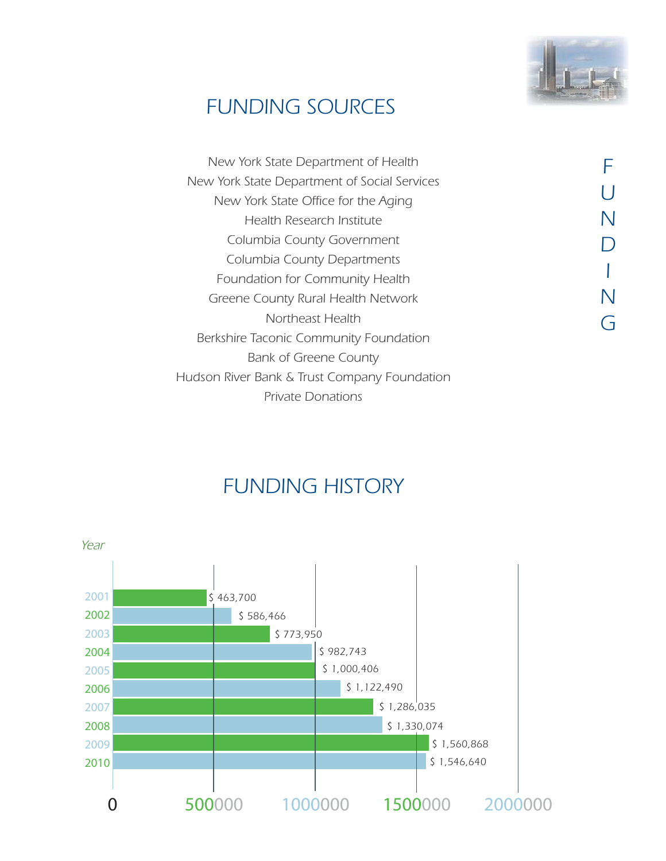

## *FUNDING SOURCES*

| New York State Department of Health          |  |
|----------------------------------------------|--|
| New York State Department of Social Services |  |
| New York State Office for the Aging          |  |
| Health Research Institute                    |  |
| Columbia County Government                   |  |
| Columbia County Departments                  |  |
| Foundation for Community Health              |  |
| Greene County Rural Health Network           |  |
| Northeast Health                             |  |
| Berkshire Taconic Community Foundation       |  |
| <b>Bank of Greene County</b>                 |  |
| Hudson River Bank & Trust Company Foundation |  |
| <b>Private Donations</b>                     |  |

## *FUNDING HISTORY*

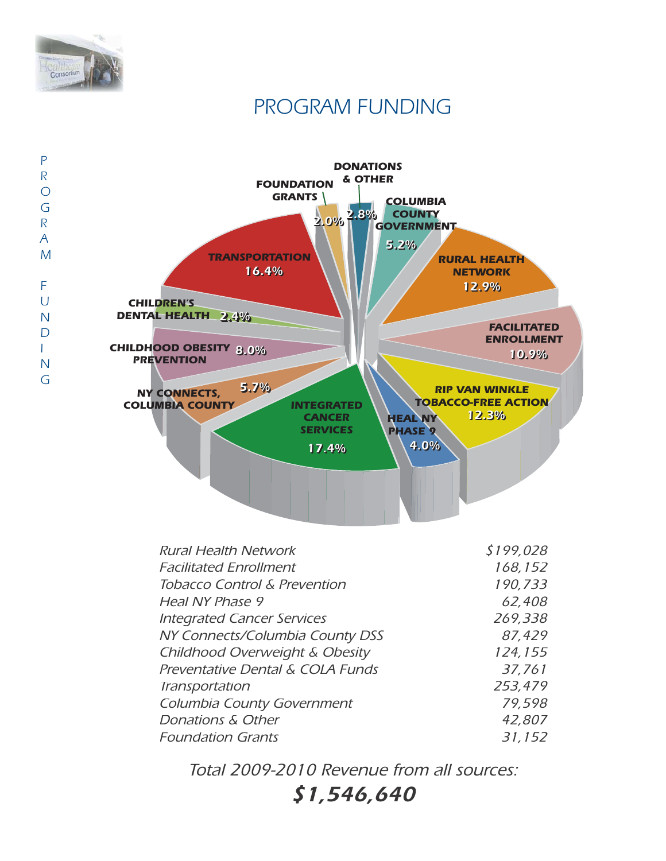

## *PROGRAM FUNDING*



| <b>Rural Health Network</b>             | \$199,028 |
|-----------------------------------------|-----------|
| <b>Facilitated Enrollment</b>           | 168,152   |
| <b>Tobacco Control &amp; Prevention</b> | 190,733   |
| Heal NY Phase 9                         | 62,408    |
| <b>Integrated Cancer Services</b>       | 269,338   |
| NY Connects/Columbia County DSS         | 87,429    |
| Childhood Overweight & Obesity          | 124,155   |
| Preventative Dental & COLA Funds        | 37,761    |
| Transportation                          | 253,479   |
| Columbia County Government              | 79,598    |
| Donations & Other                       | 42,807    |
| <b>Foundation Grants</b>                | 31,152    |

*Total 2009-2010 Revenue from all sources:*

*\$1,546,640*